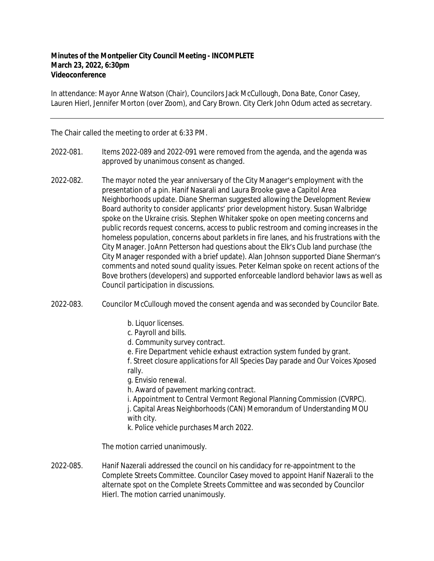## **Minutes of the Montpelier City Council Meeting - INCOMPLETE March 23, 2022, 6:30pm Videoconference**

In attendance: Mayor Anne Watson (Chair), Councilors Jack McCullough, Dona Bate, Conor Casey, Lauren Hierl, Jennifer Morton (over Zoom), and Cary Brown. City Clerk John Odum acted as secretary.

The Chair called the meeting to order at 6:33 PM.

- 2022-081. Items 2022-089 and 2022-091 were removed from the agenda, and the agenda was approved by unanimous consent as changed.
- 2022-082. The mayor noted the year anniversary of the City Manager's employment with the presentation of a pin. Hanif Nasarali and Laura Brooke gave a Capitol Area Neighborhoods update. Diane Sherman suggested allowing the Development Review Board authority to consider applicants' prior development history. Susan Walbridge spoke on the Ukraine crisis. Stephen Whitaker spoke on open meeting concerns and public records request concerns, access to public restroom and coming increases in the homeless population, concerns about parklets in fire lanes, and his frustrations with the City Manager. JoAnn Petterson had questions about the Elk's Club land purchase (the City Manager responded with a brief update). Alan Johnson supported Diane Sherman's comments and noted sound quality issues. Peter Kelman spoke on recent actions of the Bove brothers (developers) and supported enforceable landlord behavior laws as well as Council participation in discussions.
- 2022-083. Councilor McCullough moved the consent agenda and was seconded by Councilor Bate.
	- b. Liquor licenses.
	- c. Payroll and bills.
	- d. Community survey contract.
	- e. Fire Department vehicle exhaust extraction system funded by grant.

f. Street closure applications for All Species Day parade and Our Voices Xposed rally.

g. Envisio renewal.

h. Award of pavement marking contract.

i. Appointment to Central Vermont Regional Planning Commission (CVRPC). j. Capital Areas Neighborhoods (CAN) Memorandum of Understanding MOU with city.

k. Police vehicle purchases March 2022.

The motion carried unanimously.

2022-085. Hanif Nazerali addressed the council on his candidacy for re-appointment to the Complete Streets Committee. Councilor Casey moved to appoint Hanif Nazerali to the alternate spot on the Complete Streets Committee and was seconded by Councilor Hierl. The motion carried unanimously.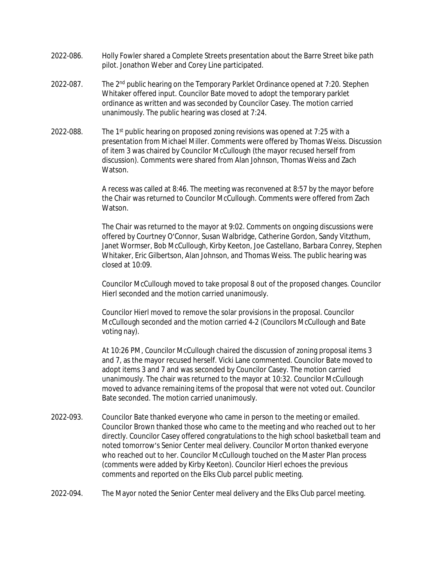- 2022-086. Holly Fowler shared a Complete Streets presentation about the Barre Street bike path pilot. Jonathon Weber and Corey Line participated.
- 2022-087. The 2<sup>nd</sup> public hearing on the Temporary Parklet Ordinance opened at 7:20. Stephen Whitaker offered input. Councilor Bate moved to adopt the temporary parklet ordinance as written and was seconded by Councilor Casey. The motion carried unanimously. The public hearing was closed at 7:24.
- 2022-088. The 1<sup>st</sup> public hearing on proposed zoning revisions was opened at 7:25 with a presentation from Michael Miller. Comments were offered by Thomas Weiss. Discussion of item 3 was chaired by Councilor McCullough (the mayor recused herself from discussion). Comments were shared from Alan Johnson, Thomas Weiss and Zach Watson.

A recess was called at 8:46. The meeting was reconvened at 8:57 by the mayor before the Chair was returned to Councilor McCullough. Comments were offered from Zach Watson.

The Chair was returned to the mayor at 9:02. Comments on ongoing discussions were offered by Courtney O'Connor, Susan Walbridge, Catherine Gordon, Sandy Vitzthum, Janet Wormser, Bob McCullough, Kirby Keeton, Joe Castellano, Barbara Conrey, Stephen Whitaker, Eric Gilbertson, Alan Johnson, and Thomas Weiss. The public hearing was closed at 10:09.

Councilor McCullough moved to take proposal 8 out of the proposed changes. Councilor Hierl seconded and the motion carried unanimously.

Councilor Hierl moved to remove the solar provisions in the proposal. Councilor McCullough seconded and the motion carried 4-2 (Councilors McCullough and Bate voting nay).

At 10:26 PM, Councilor McCullough chaired the discussion of zoning proposal items 3 and 7, as the mayor recused herself. Vicki Lane commented. Councilor Bate moved to adopt items 3 and 7 and was seconded by Councilor Casey. The motion carried unanimously. The chair was returned to the mayor at 10:32. Councilor McCullough moved to advance remaining items of the proposal that were not voted out. Councilor Bate seconded. The motion carried unanimously.

- 2022-093. Councilor Bate thanked everyone who came in person to the meeting or emailed. Councilor Brown thanked those who came to the meeting and who reached out to her directly. Councilor Casey offered congratulations to the high school basketball team and noted tomorrow's Senior Center meal delivery. Councilor Morton thanked everyone who reached out to her. Councilor McCullough touched on the Master Plan process (comments were added by Kirby Keeton). Councilor Hierl echoes the previous comments and reported on the Elks Club parcel public meeting.
- 2022-094. The Mayor noted the Senior Center meal delivery and the Elks Club parcel meeting.